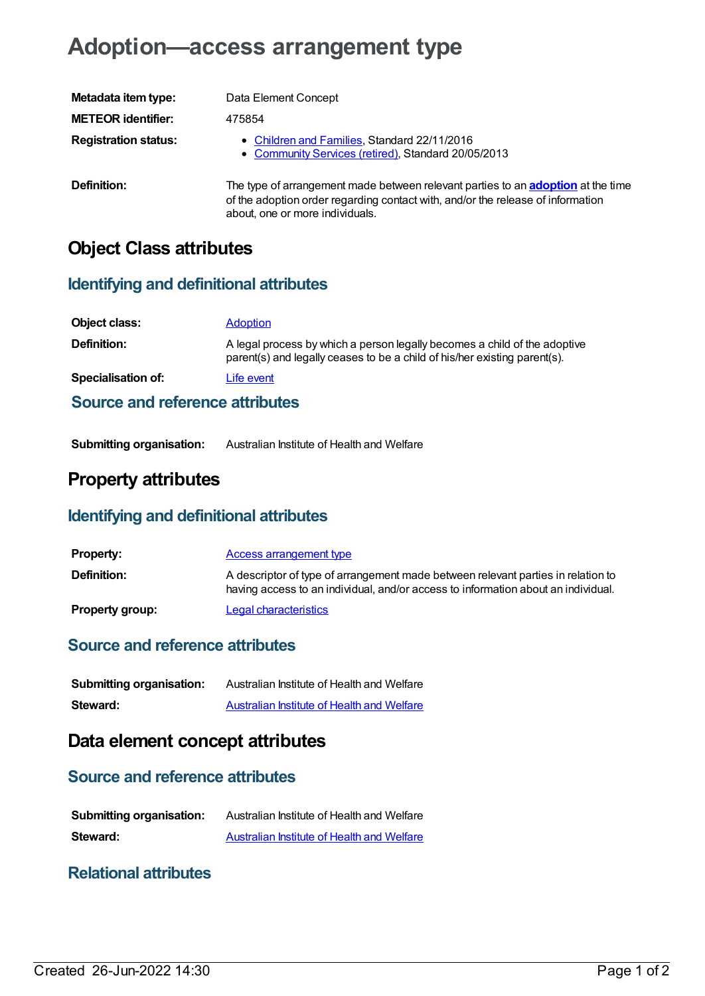# **Adoption—access arrangement type**

| Metadata item type:         | Data Element Concept                                                                                                                                                                                          |
|-----------------------------|---------------------------------------------------------------------------------------------------------------------------------------------------------------------------------------------------------------|
| <b>METEOR identifier:</b>   | 475854                                                                                                                                                                                                        |
| <b>Registration status:</b> | • Children and Families, Standard 22/11/2016<br>• Community Services (retired), Standard 20/05/2013                                                                                                           |
| Definition:                 | The type of arrangement made between relevant parties to an <b>adoption</b> at the time<br>of the adoption order regarding contact with, and/or the release of information<br>about, one or more individuals. |

## **Object Class attributes**

#### **Identifying and definitional attributes**

| Object class:                   | <b>Adoption</b>                                                                                                                                        |  |
|---------------------------------|--------------------------------------------------------------------------------------------------------------------------------------------------------|--|
| <b>Definition:</b>              | A legal process by which a person legally becomes a child of the adoptive<br>parent(s) and legally ceases to be a child of his/her existing parent(s). |  |
| <b>Specialisation of:</b>       | Life event                                                                                                                                             |  |
| Source and reference attributes |                                                                                                                                                        |  |

**Submitting organisation:** Australian Institute of Health and Welfare

## **Property attributes**

#### **Identifying and definitional attributes**

| <b>Property:</b>       | Access arrangement type                                                                                                                                               |
|------------------------|-----------------------------------------------------------------------------------------------------------------------------------------------------------------------|
| <b>Definition:</b>     | A descriptor of type of arrangement made between relevant parties in relation to<br>having access to an individual, and/or access to information about an individual. |
| <b>Property group:</b> | Legal characteristics                                                                                                                                                 |

## **Source and reference attributes**

| <b>Submitting organisation:</b> | Australian Institute of Health and Welfare |
|---------------------------------|--------------------------------------------|
| Steward:                        | Australian Institute of Health and Welfare |

## **Data element concept attributes**

#### **Source and reference attributes**

| <b>Submitting organisation:</b> | Australian Institute of Health and Welfare |
|---------------------------------|--------------------------------------------|
| Steward:                        | Australian Institute of Health and Welfare |

#### **Relational attributes**